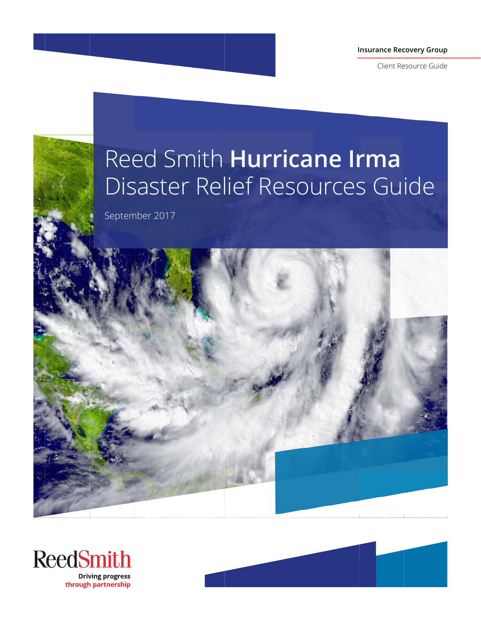**Insurance Recovery Group** 

Client Resource Guide

# Reed Smith Hurricane Irma Disaster Relief Resources Guide

September 2017





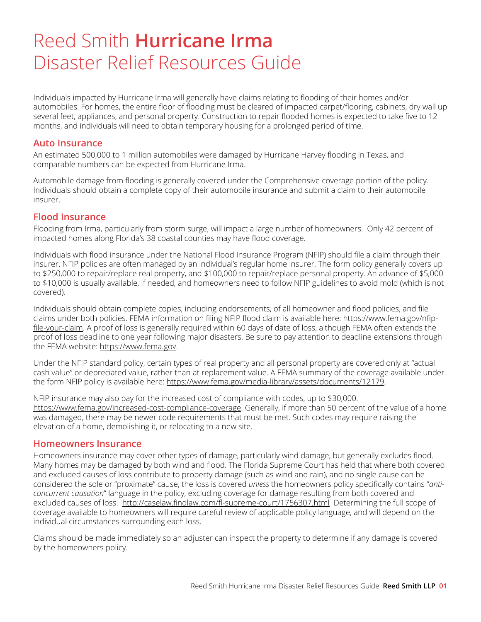## Reed Smith **Hurricane Irma** Disaster Relief Resources Guide

Individuals impacted by Hurricane Irma will generally have claims relating to flooding of their homes and/or automobiles. For homes, the entire floor of flooding must be cleared of impacted carpet/flooring, cabinets, dry wall up several feet, appliances, and personal property. Construction to repair flooded homes is expected to take five to 12 months, and individuals will need to obtain temporary housing for a prolonged period of time.

#### **Auto Insurance**

An estimated 500,000 to 1 million automobiles were damaged by Hurricane Harvey flooding in Texas, and comparable numbers can be expected from Hurricane Irma.

Automobile damage from flooding is generally covered under the Comprehensive coverage portion of the policy. Individuals should obtain a complete copy of their automobile insurance and submit a claim to their automobile insurer.

#### **Flood Insurance**

Flooding from Irma, particularly from storm surge, will impact a large number of homeowners. Only 42 percent of impacted homes along Florida's 38 coastal counties may have flood coverage.

Individuals with flood insurance under the National Flood Insurance Program (NFIP) should file a claim through their insurer. NFIP policies are often managed by an individual's regular home insurer. The form policy generally covers up to \$250,000 to repair/replace real property, and \$100,000 to repair/replace personal property. An advance of \$5,000 to \$10,000 is usually available, if needed, and homeowners need to follow NFIP guidelines to avoid mold (which is not covered).

Individuals should obtain complete copies, including endorsements, of all homeowner and flood policies, and file claims under both policies. FEMA information on filing NFIP flood claim is available here: https://www.fema.gov/nfipfile-your-claim. A proof of loss is generally required within 60 days of date of loss, although FEMA often extends the proof of loss deadline to one year following major disasters. Be sure to pay attention to deadline extensions through the FEMA website: https://www.fema.gov.

Under the NFIP standard policy, certain types of real property and all personal property are covered only at "actual cash value" or depreciated value, rather than at replacement value. A FEMA summary of the coverage available under the form NFIP policy is available here: https://www.fema.gov/media-library/assets/documents/12179.

NFIP insurance may also pay for the increased cost of compliance with codes, up to \$30,000. https://www.fema.gov/increased-cost-compliance-coverage. Generally, if more than 50 percent of the value of a home was damaged, there may be newer code requirements that must be met. Such codes may require raising the elevation of a home, demolishing it, or relocating to a new site.

#### **Homeowners Insurance**

Homeowners insurance may cover other types of damage, particularly wind damage, but generally excludes flood. Many homes may be damaged by both wind and flood. The Florida Supreme Court has held that where both covered and excluded causes of loss contribute to property damage (such as wind and rain), and no single cause can be considered the sole or "proximate" cause, the loss is covered *unless* the homeowners policy specifically contains "*anticoncurrent causation*" language in the policy, excluding coverage for damage resulting from both covered and excluded causes of loss. http://caselaw.findlaw.com/fl-supreme-court/1756307.html Determining the full scope of coverage available to homeowners will require careful review of applicable policy language, and will depend on the individual circumstances surrounding each loss.

Claims should be made immediately so an adjuster can inspect the property to determine if any damage is covered by the homeowners policy.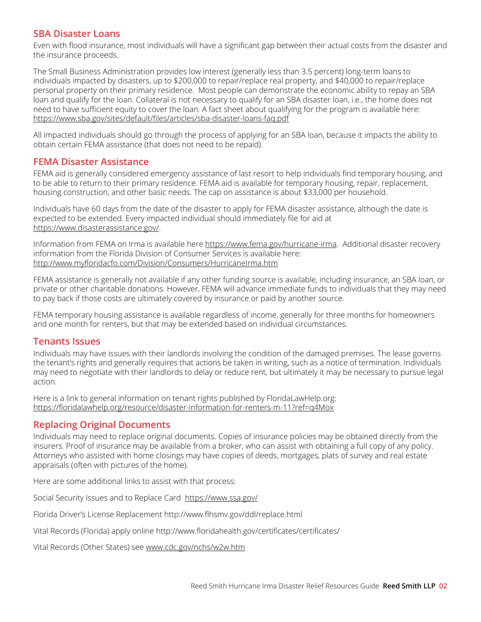#### **SBA Disaster Loans**

Even with flood insurance, most individuals will have a significant gap between their actual costs from the disaster and the insurance proceeds.

The Small Business Administration provides low interest (generally less than 3.5 percent) long-term loans to individuals impacted by disasters, up to \$200,000 to repair/replace real property, and \$40,000 to repair/replace personal property on their primary residence. Most people can demonstrate the economic ability to repay an SBA loan and qualify for the loan. Collateral is not necessary to qualify for an SBA disaster loan, i.e., the home does not need to have sufficient equity to cover the loan. A fact sheet about qualifying for the program is available here: https://www.sba.gov/sites/default/files/articles/sba-disaster-loans-faq.pdf

All impacted individuals should go through the process of applying for an SBA loan, because it impacts the ability to obtain certain FEMA assistance (that does not need to be repaid).

#### **FEMA Disaster Assistance**

FEMA aid is generally considered emergency assistance of last resort to help individuals find temporary housing, and to be able to return to their primary residence. FEMA aid is available for temporary housing, repair, replacement, housing construction, and other basic needs. The cap on assistance is about \$33,000 per household.

Individuals have 60 days from the date of the disaster to apply for FEMA disaster assistance, although the date is expected to be extended. Every impacted individual should immediately file for aid at https://www.disasterassistance.gov/.

Information from FEMA on Irma is available here https://www.fema.gov/hurricane-irma. Additional disaster recovery information from the Florida Division of Consumer Services is available here: http://www.myfloridacfo.com/Division/Consumers/HurricaneIrma.htm

FEMA assistance is generally not available if any other funding source is available, including insurance, an SBA loan, or private or other charitable donations. However, FEMA will advance immediate funds to individuals that they may need to pay back if those costs are ultimately covered by insurance or paid by another source.

FEMA temporary housing assistance is available regardless of income, generally for three months for homeowners and one month for renters, but that may be extended based on individual circumstances.

#### **Tenants Issues**

Individuals may have issues with their landlords involving the condition of the damaged premises. The lease governs the tenant's rights and generally requires that actions be taken in writing, such as a notice of termination. Individuals may need to negotiate with their landlords to delay or reduce rent, but ultimately it may be necessary to pursue legal action.

Here is a link to general information on tenant rights published by FloridaLawHelp.org: https://floridalawhelp.org/resource/disaster-information-for-renters-m-11?ref=q4Mox

#### **Replacing Original Documents**

Individuals may need to replace original documents. Copies of insurance policies may be obtained directly from the insurers. Proof of insurance may be available from a broker, who can assist with obtaining a full copy of any policy. Attorneys who assisted with home closings may have copies of deeds, mortgages, plats of survey and real estate appraisals (often with pictures of the home).

Here are some additional links to assist with that process:

Social Security Issues and to Replace Card https://www.ssa.gov/

Florida Driver's License Replacement http://www.flhsmv.gov/ddl/replace.html

Vital Records (Florida) apply online http://www.floridahealth.gov/certificates/certificates/

Vital Records (Other States) see www.cdc.gov/nchs/w2w.htm